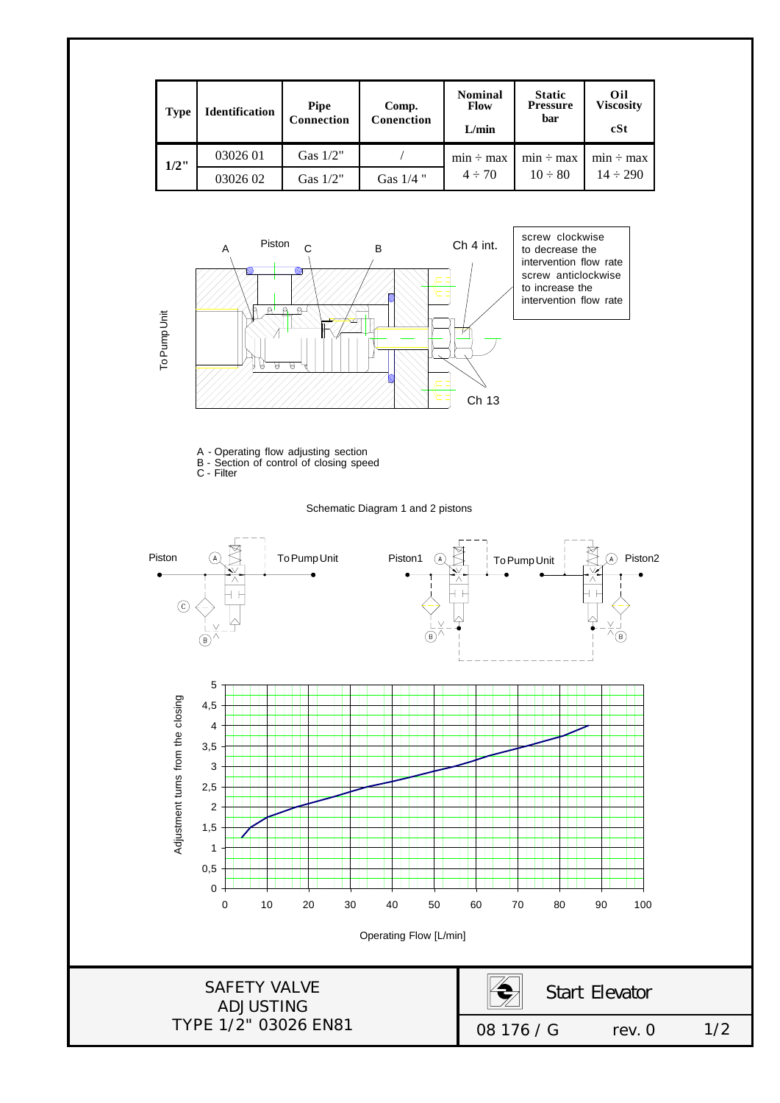



A - Operating flow adjusting section B - Section of control of closing speed

C - Filter

Schematic Diagram 1 and 2 pistons